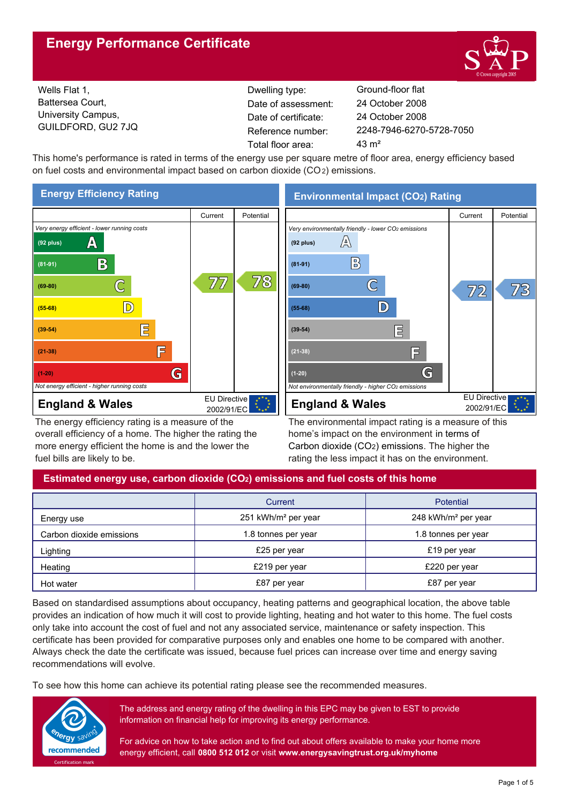# **Energy Performance Certificate**



Wells Flat 1, Battersea Court, University Campus, GUILDFORD, GU2 7JQ

Dwelling type: Ground-floor flat Date of certificate: Total floor area: 43 m<sup>2</sup> Date of assessment:

2248-7946-6270-5728-7050 24 October 2008 24 October 2008

This home's performance is rated in terms of the energy use per square metre of floor area, energy efficiency based on fuel costs and environmental impact based on carbon dioxide (CO2) emissions.



The energy efficiency rating is a measure of the overall efficiency of a home. The higher the rating the more energy efficient the home is and the lower the fuel bills are likely to be.

**Environmental Impact (CO2) Rating**



The environmental impact rating is a measure of this home's impact on the environment in terms of Carbon dioxide (CO2) emissions. The higher the rating the less impact it has on the environment.

## **Estimated energy use, carbon dioxide (CO2) emissions and fuel costs of this home**

|                          | Current                         | <b>Potential</b>                |
|--------------------------|---------------------------------|---------------------------------|
| Energy use               | 251 kWh/m <sup>2</sup> per year | 248 kWh/m <sup>2</sup> per year |
| Carbon dioxide emissions | 1.8 tonnes per year             | 1.8 tonnes per year             |
| Lighting                 | £25 per year                    | £19 per year                    |
| Heating                  | £219 per year                   | £220 per year                   |
| Hot water                | £87 per year                    | £87 per year                    |

Based on standardised assumptions about occupancy, heating patterns and geographical location, the above table provides an indication of how much it will cost to provide lighting, heating and hot water to this home. The fuel costs only take into account the cost of fuel and not any associated service, maintenance or safety inspection. This certificate has been provided for comparative purposes only and enables one home to be compared with another. Always check the date the certificate was issued, because fuel prices can increase over time and energy saving recommendations will evolve.

To see how this home can achieve its potential rating please see the recommended measures.



The address and energy rating of the dwelling in this EPC may be given to EST to provide information on financial help for improving its energy performance.

For advice on how to take action and to find out about offers available to make your home more energy efficient, call **0800 512 012** or visit **www.energysavingtrust.org.uk/myhome**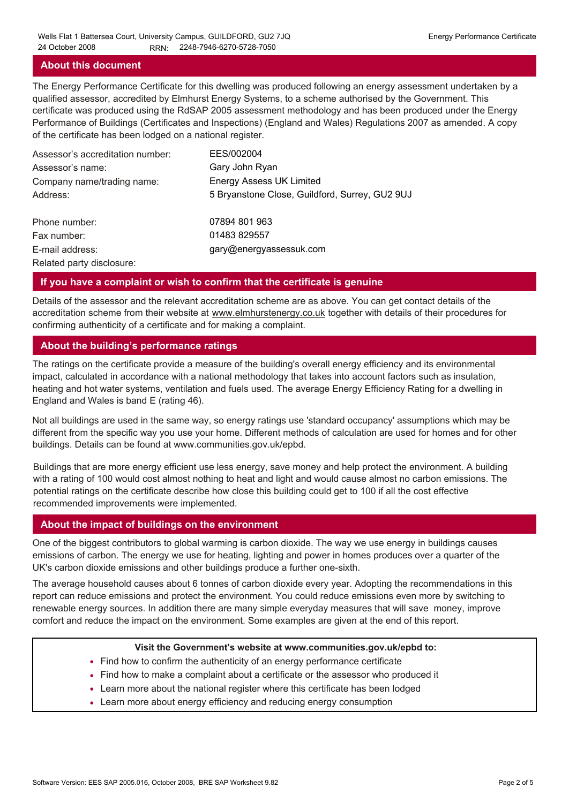### **About this document**

The Energy Performance Certificate for this dwelling was produced following an energy assessment undertaken by a qualified assessor, accredited by Elmhurst Energy Systems, to a scheme authorised by the Government. This certificate was produced using the RdSAP 2005 assessment methodology and has been produced under the Energy Performance of Buildings (Certificates and Inspections) (England and Wales) Regulations 2007 as amended. A copy of the certificate has been lodged on a national register.

| Assessor's accreditation number: | EES/002004                                     |
|----------------------------------|------------------------------------------------|
| Assessor's name:                 | Gary John Ryan                                 |
| Company name/trading name:       | <b>Energy Assess UK Limited</b>                |
| Address:                         | 5 Bryanstone Close, Guildford, Surrey, GU2 9UJ |
| Phone number:                    | 07894 801 963                                  |
| Fax number:                      | 01483 829557                                   |
| E-mail address:                  | gary@energyassessuk.com                        |
| Related party disclosure:        |                                                |

#### **If you have a complaint or wish to confirm that the certificate is genuine**

Details of the assessor and the relevant accreditation scheme are as above. You can get contact details of the accreditation scheme from their website at www.elmhurstenergy.co.uk together with details of their procedures for confirming authenticity of a certificate and for making a complaint.

### **About the building's performance ratings**

The ratings on the certificate provide a measure of the building's overall energy efficiency and its environmental impact, calculated in accordance with a national methodology that takes into account factors such as insulation, heating and hot water systems, ventilation and fuels used. The average Energy Efficiency Rating for a dwelling in England and Wales is band E (rating 46).

Not all buildings are used in the same way, so energy ratings use 'standard occupancy' assumptions which may be different from the specific way you use your home. Different methods of calculation are used for homes and for other buildings. Details can be found at www.communities.gov.uk/epbd.

Buildings that are more energy efficient use less energy, save money and help protect the environment. A building with a rating of 100 would cost almost nothing to heat and light and would cause almost no carbon emissions. The potential ratings on the certificate describe how close this building could get to 100 if all the cost effective recommended improvements were implemented.

#### **About the impact of buildings on the environment**

One of the biggest contributors to global warming is carbon dioxide. The way we use energy in buildings causes emissions of carbon. The energy we use for heating, lighting and power in homes produces over a quarter of the UK's carbon dioxide emissions and other buildings produce a further one-sixth.

The average household causes about 6 tonnes of carbon dioxide every year. Adopting the recommendations in this report can reduce emissions and protect the environment. You could reduce emissions even more by switching to renewable energy sources. In addition there are many simple everyday measures that will save money, improve comfort and reduce the impact on the environment. Some examples are given at the end of this report.

#### **Visit the Government's website at www.communities.gov.uk/epbd to:**

- Find how to confirm the authenticity of an energy performance certificate
- Find how to make a complaint about a certificate or the assessor who produced it •
- Learn more about the national register where this certificate has been lodged •
- Learn more about energy efficiency and reducing energy consumption •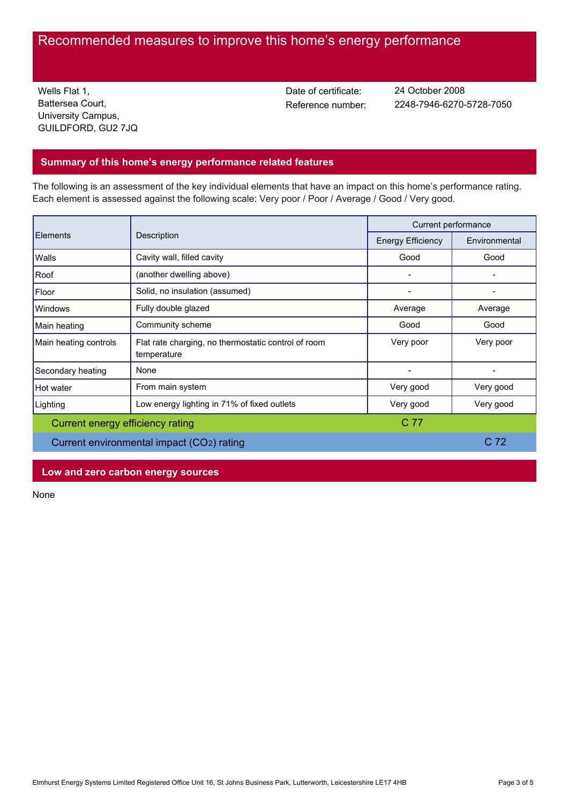# Recommended measures to improve this home's energy performance

Wells Flat 1, Battersea Court, University Campus, GUILDFORD, GU2 7JQ Date of certificate:

Reference number: 2248-7946-6270-5728-7050 24 October 2008

## **Summary of this home's energy performance related features**

The following is an assessment of the key individual elements that have an impact on this home's performance rating. Each element is assessed against the following scale: Very poor / Poor / Average / Good / Very good.

|                                           | Description                                                        | Current performance      |                 |
|-------------------------------------------|--------------------------------------------------------------------|--------------------------|-----------------|
| <b>Elements</b>                           |                                                                    | <b>Energy Efficiency</b> | Environmental   |
| Walls                                     | Cavity wall, filled cavity                                         | Good                     | Good            |
| Roof                                      | (another dwelling above)                                           |                          |                 |
| Floor                                     | Solid, no insulation (assumed)                                     |                          |                 |
| Windows                                   | Fully double glazed                                                | Average                  | Average         |
| Main heating                              | Community scheme                                                   | Good                     | Good            |
| Main heating controls                     | Flat rate charging, no thermostatic control of room<br>temperature | Very poor                | Very poor       |
| Secondary heating                         | None                                                               |                          |                 |
| Hot water                                 | From main system                                                   | Very good                | Very good       |
| Lighting                                  | Low energy lighting in 71% of fixed outlets                        | Very good                | Very good       |
| Current energy efficiency rating          |                                                                    | C 77                     |                 |
| Current environmental impact (CO2) rating |                                                                    |                          | C <sub>72</sub> |

## **Low and zero carbon energy sources**

None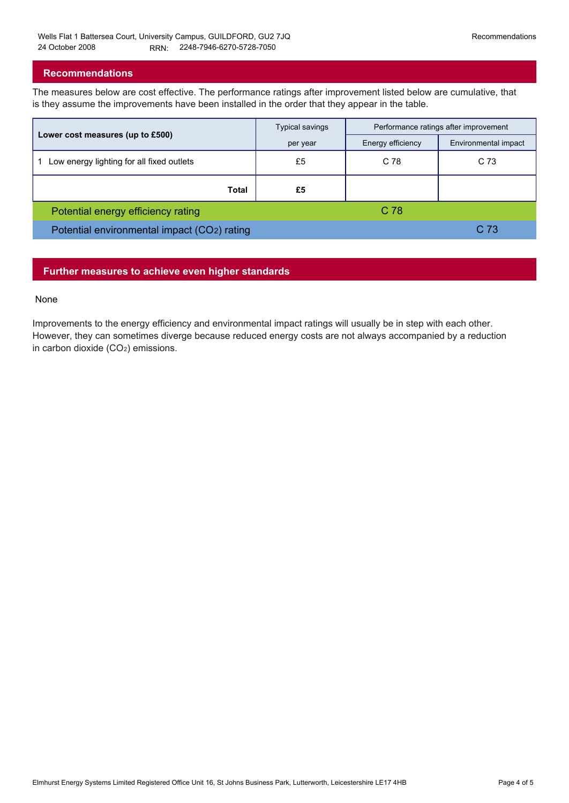### **Recommendations**

The measures below are cost effective. The performance ratings after improvement listed below are cumulative, that is they assume the improvements have been installed in the order that they appear in the table.

|                                             | Typical savings | Performance ratings after improvement |                      |
|---------------------------------------------|-----------------|---------------------------------------|----------------------|
| Lower cost measures (up to £500)            | per year        | Energy efficiency                     | Environmental impact |
| Low energy lighting for all fixed outlets   | £5              | C 78                                  | C <sub>73</sub>      |
| Total                                       | £5              |                                       |                      |
| Potential energy efficiency rating          |                 | C 78                                  |                      |
| Potential environmental impact (CO2) rating |                 |                                       | C 73                 |

## **Further measures to achieve even higher standards**

#### None

Improvements to the energy efficiency and environmental impact ratings will usually be in step with each other. However, they can sometimes diverge because reduced energy costs are not always accompanied by a reduction in carbon dioxide (CO2) emissions.